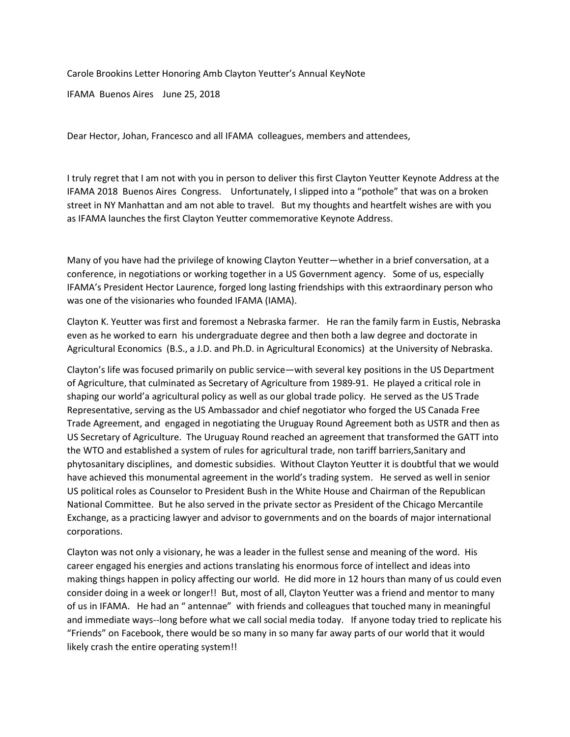Carole Brookins Letter Honoring Amb Clayton Yeutter's Annual KeyNote

IFAMA Buenos Aires June 25, 2018

Dear Hector, Johan, Francesco and all IFAMA colleagues, members and attendees,

I truly regret that I am not with you in person to deliver this first Clayton Yeutter Keynote Address at the IFAMA 2018 Buenos Aires Congress. Unfortunately, I slipped into a "pothole" that was on a broken street in NY Manhattan and am not able to travel. But my thoughts and heartfelt wishes are with you as IFAMA launches the first Clayton Yeutter commemorative Keynote Address.

Many of you have had the privilege of knowing Clayton Yeutter—whether in a brief conversation, at a conference, in negotiations or working together in a US Government agency. Some of us, especially IFAMA's President Hector Laurence, forged long lasting friendships with this extraordinary person who was one of the visionaries who founded IFAMA (IAMA).

Clayton K. Yeutter was first and foremost a Nebraska farmer. He ran the family farm in Eustis, Nebraska even as he worked to earn his undergraduate degree and then both a law degree and doctorate in Agricultural Economics (B.S., a J.D. and Ph.D. in Agricultural Economics) at the University of Nebraska.

Clayton's life was focused primarily on public service—with several key positions in the US Department of Agriculture, that culminated as Secretary of Agriculture from 1989-91. He played a critical role in shaping our world'a agricultural policy as well as our global trade policy. He served as the US Trade Representative, serving as the US Ambassador and chief negotiator who forged the US Canada Free Trade Agreement, and engaged in negotiating the Uruguay Round Agreement both as USTR and then as US Secretary of Agriculture. The Uruguay Round reached an agreement that transformed the GATT into the WTO and established a system of rules for agricultural trade, non tariff barriers,Sanitary and phytosanitary disciplines, and domestic subsidies. Without Clayton Yeutter it is doubtful that we would have achieved this monumental agreement in the world's trading system. He served as well in senior US political roles as Counselor to President Bush in the White House and Chairman of the Republican National Committee. But he also served in the private sector as President of the Chicago Mercantile Exchange, as a practicing lawyer and advisor to governments and on the boards of major international corporations.

Clayton was not only a visionary, he was a leader in the fullest sense and meaning of the word. His career engaged his energies and actions translating his enormous force of intellect and ideas into making things happen in policy affecting our world. He did more in 12 hours than many of us could even consider doing in a week or longer!! But, most of all, Clayton Yeutter was a friend and mentor to many of us in IFAMA. He had an " antennae" with friends and colleagues that touched many in meaningful and immediate ways--long before what we call social media today. If anyone today tried to replicate his "Friends" on Facebook, there would be so many in so many far away parts of our world that it would likely crash the entire operating system!!